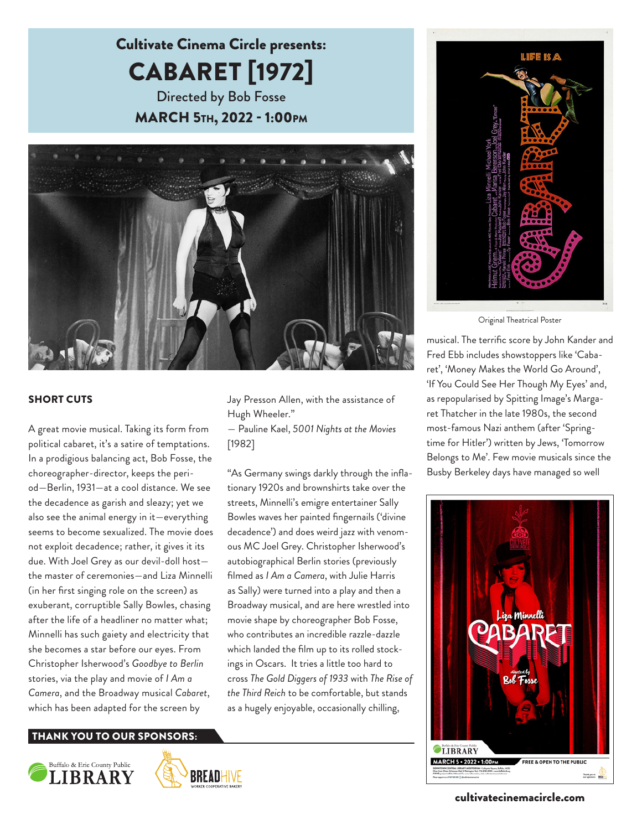



A great movie musical. Taking its form from political cabaret, it's a satire of temptations. In a prodigious balancing act, Bob Fosse, the choreographer-director, keeps the period—Berlin, 1931—at a cool distance. We see the decadence as garish and sleazy; yet we also see the animal energy in it—everything seems to become sexualized. The movie does not exploit decadence; rather, it gives it its due. With Joel Grey as our devil-doll host the master of ceremonies—and Liza Minnelli (in her first singing role on the screen) as exuberant, corruptible Sally Bowles, chasing after the life of a headliner no matter what; Minnelli has such gaiety and electricity that she becomes a star before our eyes. From Christopher Isherwood's *Goodbye to Berlin* stories, via the play and movie of *I Am a Camera*, and the Broadway musical *Cabaret*, which has been adapted for the screen by

Jay Presson Allen, with the assistance of Hugh Wheeler."

— Pauline Kael, *5001 Nights at the Movies* [1982]

"As Germany swings darkly through the inflationary 1920s and brownshirts take over the streets, Minnelli's emigre entertainer Sally Bowles waves her painted fingernails ('divine decadence') and does weird jazz with venomous MC Joel Grey. Christopher Isherwood's autobiographical Berlin stories (previously filmed as *I Am a Camera*, with Julie Harris as Sally) were turned into a play and then a Broadway musical, and are here wrestled into movie shape by choreographer Bob Fosse, who contributes an incredible razzle-dazzle which landed the film up to its rolled stockings in Oscars. It tries a little too hard to cross *The Gold Diggers of 1933* with *The Rise of the Third Reich* to be comfortable, but stands as a hugely enjoyable, occasionally chilling,









Original Theatrical Poster

musical. The terrific score by John Kander and Fred Ebb includes showstoppers like 'Cabaret', 'Money Makes the World Go Around', 'If You Could See Her Though My Eyes' and, as repopularised by Spitting Image's Margaret Thatcher in the late 1980s, the second most-famous Nazi anthem (after 'Springtime for Hitler') written by Jews, 'Tomorrow Belongs to Me'. Few movie musicals since the Busby Berkeley days have managed so well



cultivatecinemacircle.com